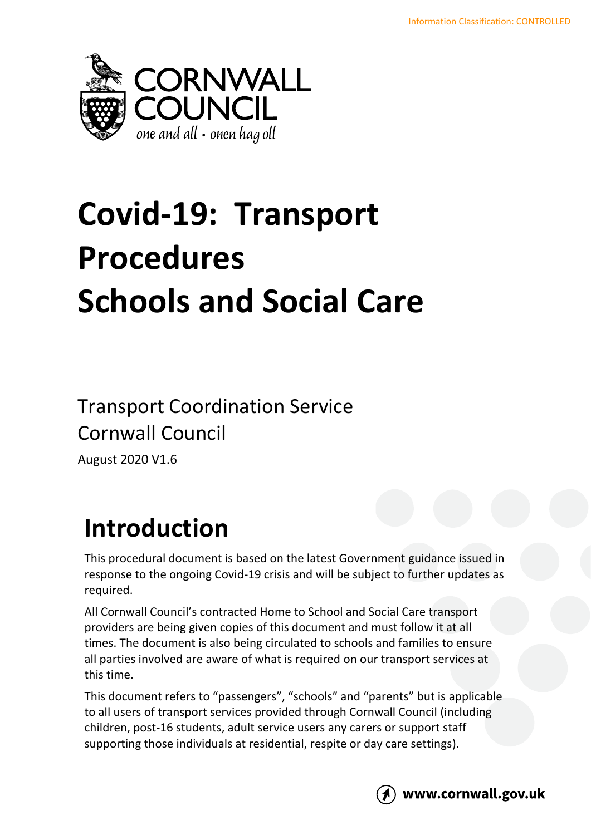

## **Covid-19: Transport Procedures Schools and Social Care**

## Transport Coordination Service Cornwall Council

August 2020 V1.6

## **Introduction**

This procedural document is based on the latest Government guidance issued in response to the ongoing Covid-19 crisis and will be subject to further updates as required.

All Cornwall Council's contracted Home to School and Social Care transport providers are being given copies of this document and must follow it at all times. The document is also being circulated to schools and families to ensure all parties involved are aware of what is required on our transport services at this time.

This document refers to "passengers", "schools" and "parents" but is applicable to all users of transport services provided through Cornwall Council (including children, post-16 students, adult service users any carers or support staff supporting those individuals at residential, respite or day care settings).



www.cornwall.gov.uk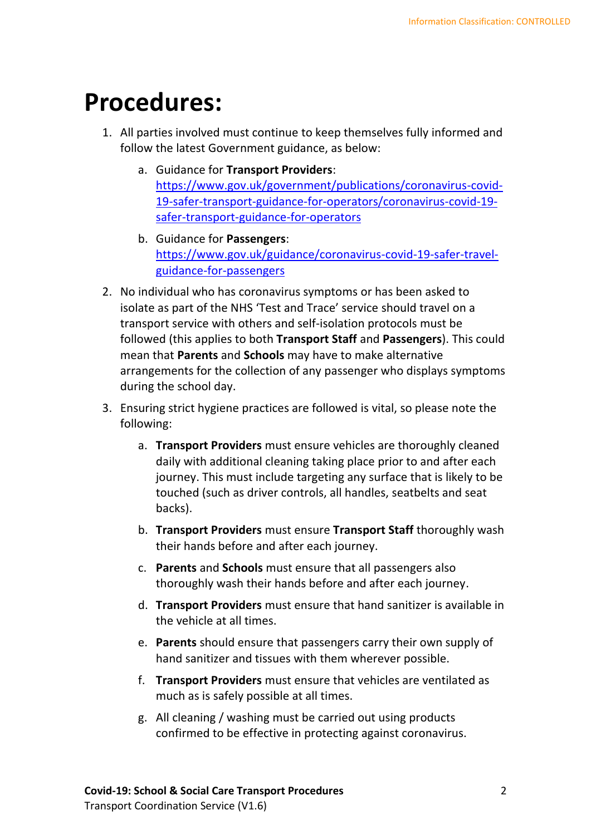## **Procedures:**

- 1. All parties involved must continue to keep themselves fully informed and follow the latest Government guidance, as below:
	- a. Guidance for **Transport Providers**: [https://www.gov.uk/government/publications/coronavirus-covid-](https://www.gov.uk/government/publications/coronavirus-covid-19-safer-transport-guidance-for-operators/coronavirus-covid-19-safer-transport-guidance-for-operators)[19-safer-transport-guidance-for-operators/coronavirus-covid-19](https://www.gov.uk/government/publications/coronavirus-covid-19-safer-transport-guidance-for-operators/coronavirus-covid-19-safer-transport-guidance-for-operators) [safer-transport-guidance-for-operators](https://www.gov.uk/government/publications/coronavirus-covid-19-safer-transport-guidance-for-operators/coronavirus-covid-19-safer-transport-guidance-for-operators)
	- b. Guidance for **Passengers**: [https://www.gov.uk/guidance/coronavirus-covid-19-safer-travel](https://www.gov.uk/guidance/coronavirus-covid-19-safer-travel-guidance-for-passengers)[guidance-for-passengers](https://www.gov.uk/guidance/coronavirus-covid-19-safer-travel-guidance-for-passengers)
- 2. No individual who has coronavirus symptoms or has been asked to isolate as part of the NHS 'Test and Trace' service should travel on a transport service with others and self-isolation protocols must be followed (this applies to both **Transport Staff** and **Passengers**). This could mean that **Parents** and **Schools** may have to make alternative arrangements for the collection of any passenger who displays symptoms during the school day.
- 3. Ensuring strict hygiene practices are followed is vital, so please note the following:
	- a. **Transport Providers** must ensure vehicles are thoroughly cleaned daily with additional cleaning taking place prior to and after each journey. This must include targeting any surface that is likely to be touched (such as driver controls, all handles, seatbelts and seat backs).
	- b. **Transport Providers** must ensure **Transport Staff** thoroughly wash their hands before and after each journey.
	- c. **Parents** and **Schools** must ensure that all passengers also thoroughly wash their hands before and after each journey.
	- d. **Transport Providers** must ensure that hand sanitizer is available in the vehicle at all times.
	- e. **Parents** should ensure that passengers carry their own supply of hand sanitizer and tissues with them wherever possible.
	- f. **Transport Providers** must ensure that vehicles are ventilated as much as is safely possible at all times.
	- g. All cleaning / washing must be carried out using products confirmed to be effective in protecting against coronavirus.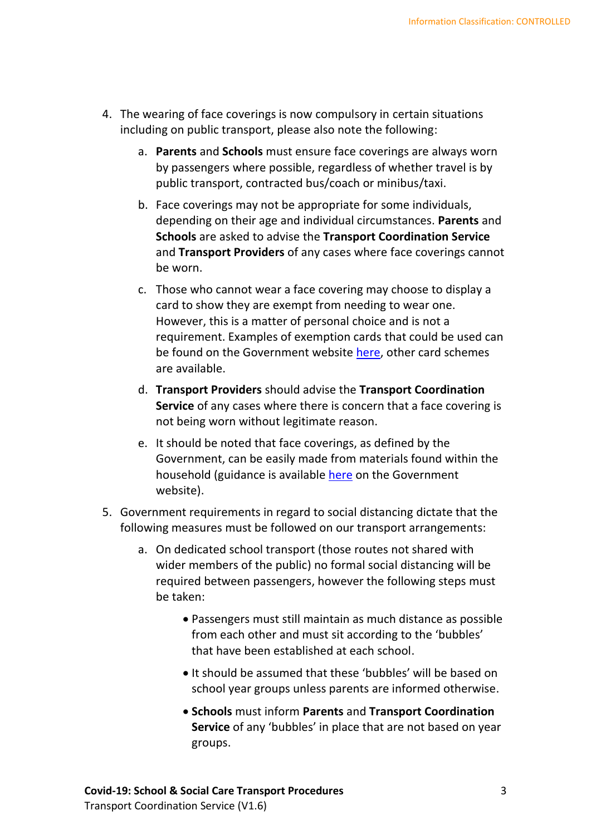- 4. The wearing of face coverings is now compulsory in certain situations including on public transport, please also note the following:
	- a. **Parents** and **Schools** must ensure face coverings are always worn by passengers where possible, regardless of whether travel is by public transport, contracted bus/coach or minibus/taxi.
	- b. Face coverings may not be appropriate for some individuals, depending on their age and individual circumstances. **Parents** and **Schools** are asked to advise the **Transport Coordination Service** and **Transport Providers** of any cases where face coverings cannot be worn.
	- c. Those who cannot wear a face covering may choose to display a card to show they are exempt from needing to wear one. However, this is a matter of personal choice and is not a requirement. Examples of exemption cards that could be used can be found on the Government website [here,](https://www.gov.uk/government/publications/face-coverings-when-to-wear-one-and-how-to-make-your-own) other card schemes are available.
	- d. **Transport Providers** should advise the **Transport Coordination Service** of any cases where there is concern that a face covering is not being worn without legitimate reason.
	- e. It should be noted that face coverings, as defined by the Government, can be easily made from materials found within the household (guidance is available [here](https://www.gov.uk/government/publications/how-to-wear-and-make-a-cloth-face-covering/how-to-wear-and-make-a-cloth-face-covering) on the Government website).
- 5. Government requirements in regard to social distancing dictate that the following measures must be followed on our transport arrangements:
	- a. On dedicated school transport (those routes not shared with wider members of the public) no formal social distancing will be required between passengers, however the following steps must be taken:
		- Passengers must still maintain as much distance as possible from each other and must sit according to the 'bubbles' that have been established at each school.
		- It should be assumed that these 'bubbles' will be based on school year groups unless parents are informed otherwise.
		- **Schools** must inform **Parents** and **Transport Coordination Service** of any 'bubbles' in place that are not based on year groups.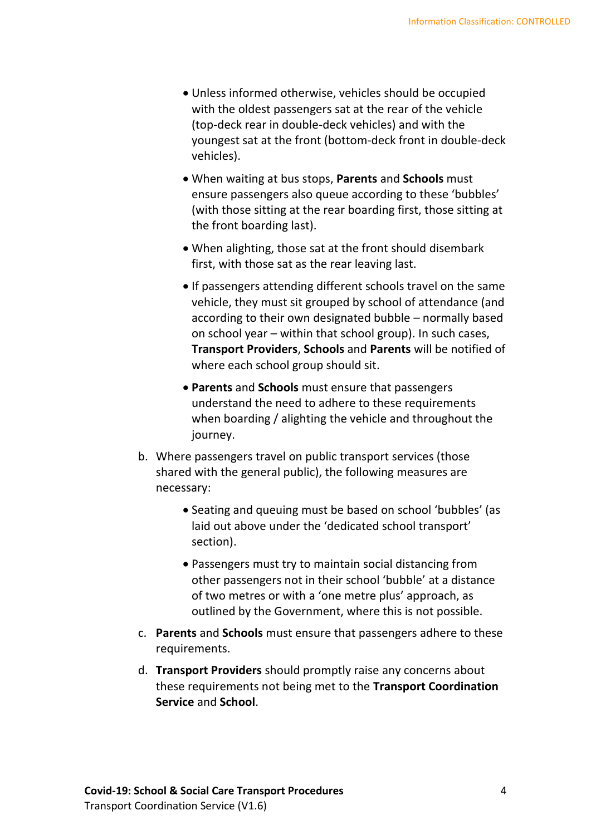- Unless informed otherwise, vehicles should be occupied with the oldest passengers sat at the rear of the vehicle (top-deck rear in double-deck vehicles) and with the youngest sat at the front (bottom-deck front in double-deck vehicles).
- When waiting at bus stops, **Parents** and **Schools** must ensure passengers also queue according to these 'bubbles' (with those sitting at the rear boarding first, those sitting at the front boarding last).
- When alighting, those sat at the front should disembark first, with those sat as the rear leaving last.
- If passengers attending different schools travel on the same vehicle, they must sit grouped by school of attendance (and according to their own designated bubble – normally based on school year – within that school group). In such cases, **Transport Providers**, **Schools** and **Parents** will be notified of where each school group should sit.
- **Parents** and **Schools** must ensure that passengers understand the need to adhere to these requirements when boarding / alighting the vehicle and throughout the journey.
- b. Where passengers travel on public transport services (those shared with the general public), the following measures are necessary:
	- Seating and queuing must be based on school 'bubbles' (as laid out above under the 'dedicated school transport' section).
	- Passengers must try to maintain social distancing from other passengers not in their school 'bubble' at a distance of two metres or with a 'one metre plus' approach, as outlined by the Government, where this is not possible.
- c. **Parents** and **Schools** must ensure that passengers adhere to these requirements.
- d. **Transport Providers** should promptly raise any concerns about these requirements not being met to the **Transport Coordination Service** and **School**.